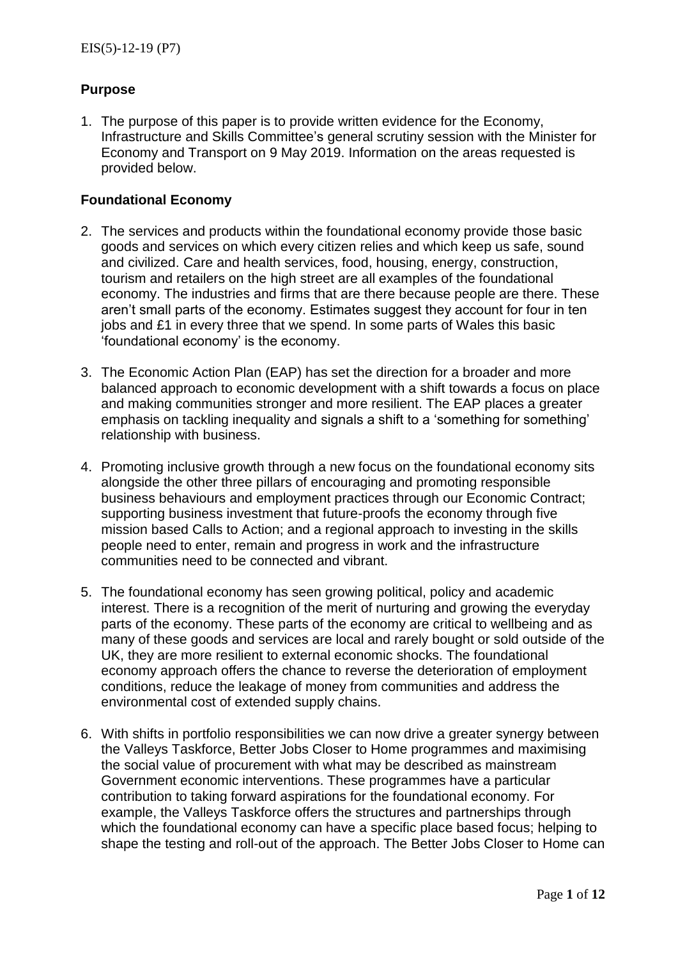# **Purpose**

1. The purpose of this paper is to provide written evidence for the Economy, Infrastructure and Skills Committee's general scrutiny session with the Minister for Economy and Transport on 9 May 2019. Information on the areas requested is provided below.

#### **Foundational Economy**

- 2. The services and products within the foundational economy provide those basic goods and services on which every citizen relies and which keep us safe, sound and civilized. Care and health services, food, housing, energy, construction, tourism and retailers on the high street are all examples of the foundational economy. The industries and firms that are there because people are there. These aren't small parts of the economy. Estimates suggest they account for four in ten jobs and £1 in every three that we spend. In some parts of Wales this basic 'foundational economy' is the economy.
- 3. The Economic Action Plan (EAP) has set the direction for a broader and more balanced approach to economic development with a shift towards a focus on place and making communities stronger and more resilient. The EAP places a greater emphasis on tackling inequality and signals a shift to a 'something for something' relationship with business.
- 4. Promoting inclusive growth through a new focus on the foundational economy sits alongside the other three pillars of encouraging and promoting responsible business behaviours and employment practices through our Economic Contract; supporting business investment that future-proofs the economy through five mission based Calls to Action; and a regional approach to investing in the skills people need to enter, remain and progress in work and the infrastructure communities need to be connected and vibrant.
- 5. The foundational economy has seen growing political, policy and academic interest. There is a recognition of the merit of nurturing and growing the everyday parts of the economy. These parts of the economy are critical to wellbeing and as many of these goods and services are local and rarely bought or sold outside of the UK, they are more resilient to external economic shocks. The foundational economy approach offers the chance to reverse the deterioration of employment conditions, reduce the leakage of money from communities and address the environmental cost of extended supply chains.
- 6. With shifts in portfolio responsibilities we can now drive a greater synergy between the Valleys Taskforce, Better Jobs Closer to Home programmes and maximising the social value of procurement with what may be described as mainstream Government economic interventions. These programmes have a particular contribution to taking forward aspirations for the foundational economy. For example, the Valleys Taskforce offers the structures and partnerships through which the foundational economy can have a specific place based focus; helping to shape the testing and roll-out of the approach. The Better Jobs Closer to Home can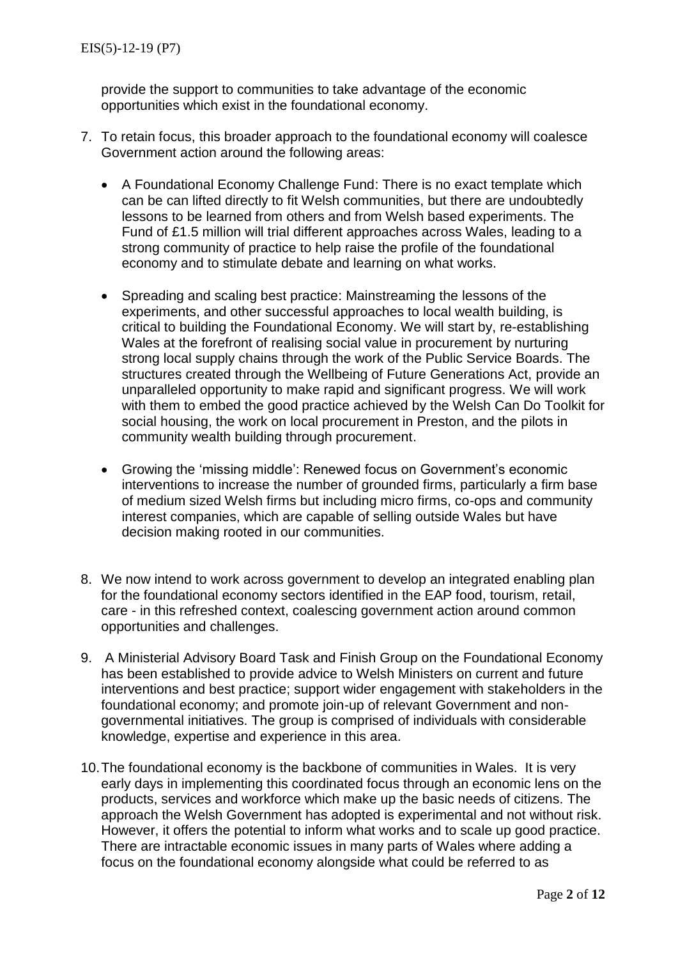provide the support to communities to take advantage of the economic opportunities which exist in the foundational economy.

- 7. To retain focus, this broader approach to the foundational economy will coalesce Government action around the following areas:
	- A Foundational Economy Challenge Fund: There is no exact template which can be can lifted directly to fit Welsh communities, but there are undoubtedly lessons to be learned from others and from Welsh based experiments. The Fund of £1.5 million will trial different approaches across Wales, leading to a strong community of practice to help raise the profile of the foundational economy and to stimulate debate and learning on what works.
	- Spreading and scaling best practice: Mainstreaming the lessons of the experiments, and other successful approaches to local wealth building, is critical to building the Foundational Economy. We will start by, re-establishing Wales at the forefront of realising social value in procurement by nurturing strong local supply chains through the work of the Public Service Boards. The structures created through the Wellbeing of Future Generations Act, provide an unparalleled opportunity to make rapid and significant progress. We will work with them to embed the good practice achieved by the Welsh Can Do Toolkit for social housing, the work on local procurement in Preston, and the pilots in community wealth building through procurement.
	- Growing the 'missing middle': Renewed focus on Government's economic interventions to increase the number of grounded firms, particularly a firm base of medium sized Welsh firms but including micro firms, co-ops and community interest companies, which are capable of selling outside Wales but have decision making rooted in our communities.
- 8. We now intend to work across government to develop an integrated enabling plan for the foundational economy sectors identified in the EAP food, tourism, retail, care - in this refreshed context, coalescing government action around common opportunities and challenges.
- 9. A Ministerial Advisory Board Task and Finish Group on the Foundational Economy has been established to provide advice to Welsh Ministers on current and future interventions and best practice; support wider engagement with stakeholders in the foundational economy; and promote join-up of relevant Government and nongovernmental initiatives. The group is comprised of individuals with considerable knowledge, expertise and experience in this area.
- 10.The foundational economy is the backbone of communities in Wales. It is very early days in implementing this coordinated focus through an economic lens on the products, services and workforce which make up the basic needs of citizens. The approach the Welsh Government has adopted is experimental and not without risk. However, it offers the potential to inform what works and to scale up good practice. There are intractable economic issues in many parts of Wales where adding a focus on the foundational economy alongside what could be referred to as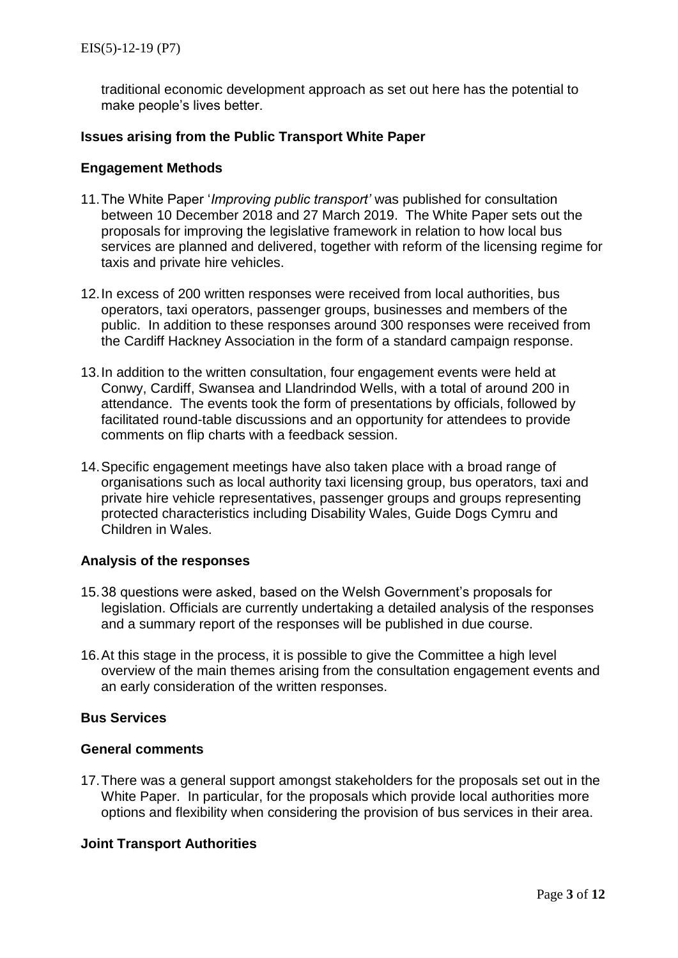traditional economic development approach as set out here has the potential to make people's lives better.

#### **Issues arising from the Public Transport White Paper**

#### **Engagement Methods**

- 11.The White Paper '*Improving public transport'* was published for consultation between 10 December 2018 and 27 March 2019. The White Paper sets out the proposals for improving the legislative framework in relation to how local bus services are planned and delivered, together with reform of the licensing regime for taxis and private hire vehicles.
- 12.In excess of 200 written responses were received from local authorities, bus operators, taxi operators, passenger groups, businesses and members of the public. In addition to these responses around 300 responses were received from the Cardiff Hackney Association in the form of a standard campaign response.
- 13.In addition to the written consultation, four engagement events were held at Conwy, Cardiff, Swansea and Llandrindod Wells, with a total of around 200 in attendance. The events took the form of presentations by officials, followed by facilitated round-table discussions and an opportunity for attendees to provide comments on flip charts with a feedback session.
- 14.Specific engagement meetings have also taken place with a broad range of organisations such as local authority taxi licensing group, bus operators, taxi and private hire vehicle representatives, passenger groups and groups representing protected characteristics including Disability Wales, Guide Dogs Cymru and Children in Wales.

#### **Analysis of the responses**

- 15.38 questions were asked, based on the Welsh Government's proposals for legislation. Officials are currently undertaking a detailed analysis of the responses and a summary report of the responses will be published in due course.
- 16.At this stage in the process, it is possible to give the Committee a high level overview of the main themes arising from the consultation engagement events and an early consideration of the written responses.

# **Bus Services**

#### **General comments**

17.There was a general support amongst stakeholders for the proposals set out in the White Paper. In particular, for the proposals which provide local authorities more options and flexibility when considering the provision of bus services in their area.

#### **Joint Transport Authorities**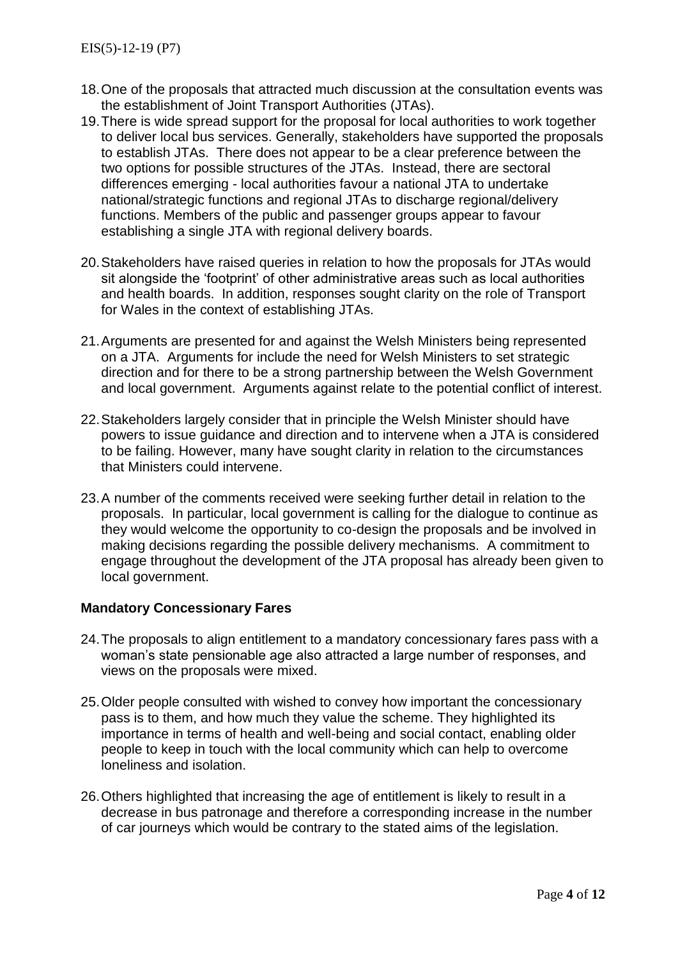- 18.One of the proposals that attracted much discussion at the consultation events was the establishment of Joint Transport Authorities (JTAs).
- 19.There is wide spread support for the proposal for local authorities to work together to deliver local bus services. Generally, stakeholders have supported the proposals to establish JTAs. There does not appear to be a clear preference between the two options for possible structures of the JTAs. Instead, there are sectoral differences emerging - local authorities favour a national JTA to undertake national/strategic functions and regional JTAs to discharge regional/delivery functions. Members of the public and passenger groups appear to favour establishing a single JTA with regional delivery boards.
- 20.Stakeholders have raised queries in relation to how the proposals for JTAs would sit alongside the 'footprint' of other administrative areas such as local authorities and health boards. In addition, responses sought clarity on the role of Transport for Wales in the context of establishing JTAs.
- 21.Arguments are presented for and against the Welsh Ministers being represented on a JTA. Arguments for include the need for Welsh Ministers to set strategic direction and for there to be a strong partnership between the Welsh Government and local government. Arguments against relate to the potential conflict of interest.
- 22.Stakeholders largely consider that in principle the Welsh Minister should have powers to issue guidance and direction and to intervene when a JTA is considered to be failing. However, many have sought clarity in relation to the circumstances that Ministers could intervene.
- 23.A number of the comments received were seeking further detail in relation to the proposals. In particular, local government is calling for the dialogue to continue as they would welcome the opportunity to co-design the proposals and be involved in making decisions regarding the possible delivery mechanisms. A commitment to engage throughout the development of the JTA proposal has already been given to local government.

## **Mandatory Concessionary Fares**

- 24.The proposals to align entitlement to a mandatory concessionary fares pass with a woman's state pensionable age also attracted a large number of responses, and views on the proposals were mixed.
- 25.Older people consulted with wished to convey how important the concessionary pass is to them, and how much they value the scheme. They highlighted its importance in terms of health and well-being and social contact, enabling older people to keep in touch with the local community which can help to overcome loneliness and isolation.
- 26.Others highlighted that increasing the age of entitlement is likely to result in a decrease in bus patronage and therefore a corresponding increase in the number of car journeys which would be contrary to the stated aims of the legislation.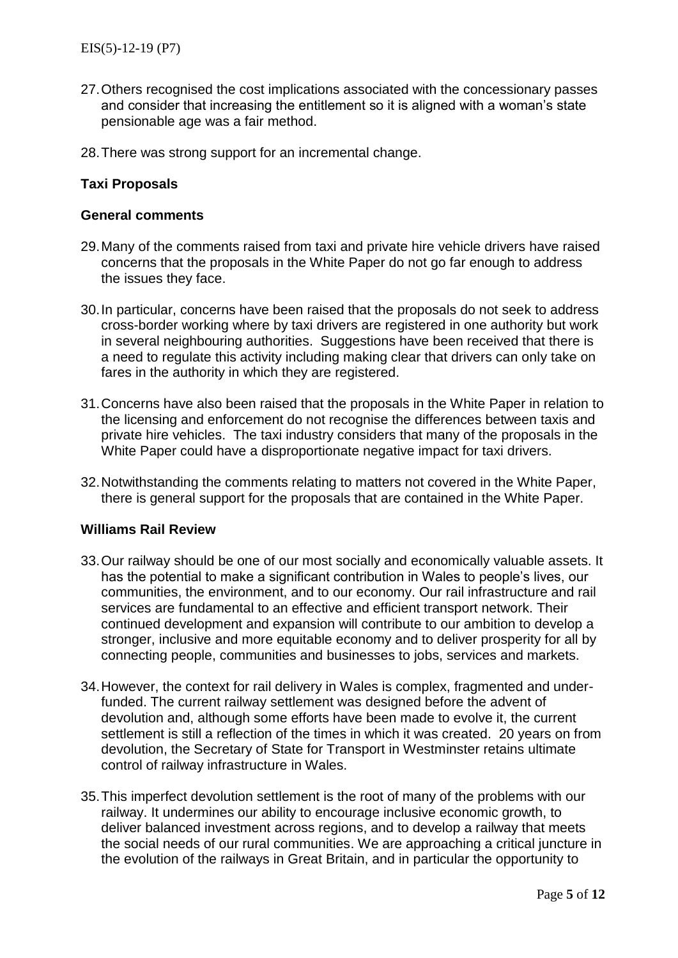- 27.Others recognised the cost implications associated with the concessionary passes and consider that increasing the entitlement so it is aligned with a woman's state pensionable age was a fair method.
- 28.There was strong support for an incremental change.

## **Taxi Proposals**

#### **General comments**

- 29.Many of the comments raised from taxi and private hire vehicle drivers have raised concerns that the proposals in the White Paper do not go far enough to address the issues they face.
- 30.In particular, concerns have been raised that the proposals do not seek to address cross-border working where by taxi drivers are registered in one authority but work in several neighbouring authorities. Suggestions have been received that there is a need to regulate this activity including making clear that drivers can only take on fares in the authority in which they are registered.
- 31.Concerns have also been raised that the proposals in the White Paper in relation to the licensing and enforcement do not recognise the differences between taxis and private hire vehicles. The taxi industry considers that many of the proposals in the White Paper could have a disproportionate negative impact for taxi drivers.
- 32.Notwithstanding the comments relating to matters not covered in the White Paper, there is general support for the proposals that are contained in the White Paper.

#### **Williams Rail Review**

- 33.Our railway should be one of our most socially and economically valuable assets. It has the potential to make a significant contribution in Wales to people's lives, our communities, the environment, and to our economy. Our rail infrastructure and rail services are fundamental to an effective and efficient transport network. Their continued development and expansion will contribute to our ambition to develop a stronger, inclusive and more equitable economy and to deliver prosperity for all by connecting people, communities and businesses to jobs, services and markets.
- 34.However, the context for rail delivery in Wales is complex, fragmented and underfunded. The current railway settlement was designed before the advent of devolution and, although some efforts have been made to evolve it, the current settlement is still a reflection of the times in which it was created. 20 years on from devolution, the Secretary of State for Transport in Westminster retains ultimate control of railway infrastructure in Wales.
- 35.This imperfect devolution settlement is the root of many of the problems with our railway. It undermines our ability to encourage inclusive economic growth, to deliver balanced investment across regions, and to develop a railway that meets the social needs of our rural communities. We are approaching a critical juncture in the evolution of the railways in Great Britain, and in particular the opportunity to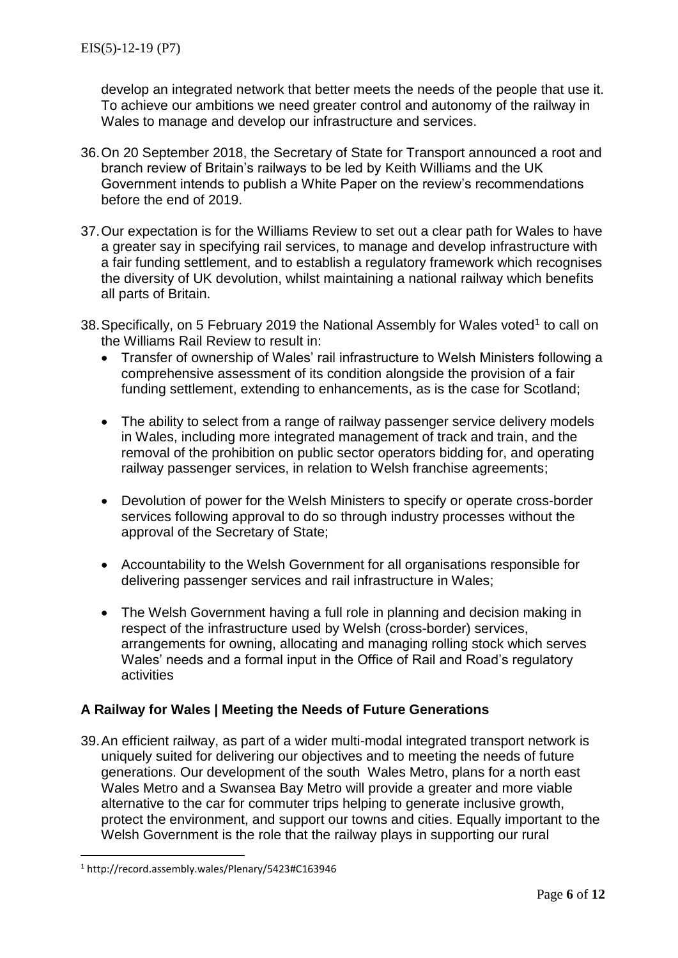develop an integrated network that better meets the needs of the people that use it. To achieve our ambitions we need greater control and autonomy of the railway in Wales to manage and develop our infrastructure and services.

- 36.On 20 September 2018, the Secretary of State for Transport announced a root and branch review of Britain's railways to be led by Keith Williams and the UK Government intends to publish a White Paper on the review's recommendations before the end of 2019.
- 37.Our expectation is for the Williams Review to set out a clear path for Wales to have a greater say in specifying rail services, to manage and develop infrastructure with a fair funding settlement, and to establish a regulatory framework which recognises the diversity of UK devolution, whilst maintaining a national railway which benefits all parts of Britain.
- 38. Specifically, on 5 February 2019 the National Assembly for Wales voted<sup>1</sup> to call on the Williams Rail Review to result in:
	- Transfer of ownership of Wales' rail infrastructure to Welsh Ministers following a comprehensive assessment of its condition alongside the provision of a fair funding settlement, extending to enhancements, as is the case for Scotland;
	- The ability to select from a range of railway passenger service delivery models in Wales, including more integrated management of track and train, and the removal of the prohibition on public sector operators bidding for, and operating railway passenger services, in relation to Welsh franchise agreements;
	- Devolution of power for the Welsh Ministers to specify or operate cross-border services following approval to do so through industry processes without the approval of the Secretary of State;
	- Accountability to the Welsh Government for all organisations responsible for delivering passenger services and rail infrastructure in Wales;
	- The Welsh Government having a full role in planning and decision making in respect of the infrastructure used by Welsh (cross-border) services, arrangements for owning, allocating and managing rolling stock which serves Wales' needs and a formal input in the Office of Rail and Road's regulatory activities

# **A Railway for Wales | Meeting the Needs of Future Generations**

39.An efficient railway, as part of a wider multi-modal integrated transport network is uniquely suited for delivering our objectives and to meeting the needs of future generations. Our development of the south Wales Metro, plans for a north east Wales Metro and a Swansea Bay Metro will provide a greater and more viable alternative to the car for commuter trips helping to generate inclusive growth, protect the environment, and support our towns and cities. Equally important to the Welsh Government is the role that the railway plays in supporting our rural

 $\overline{a}$ 

<sup>1</sup> http://record.assembly.wales/Plenary/5423#C163946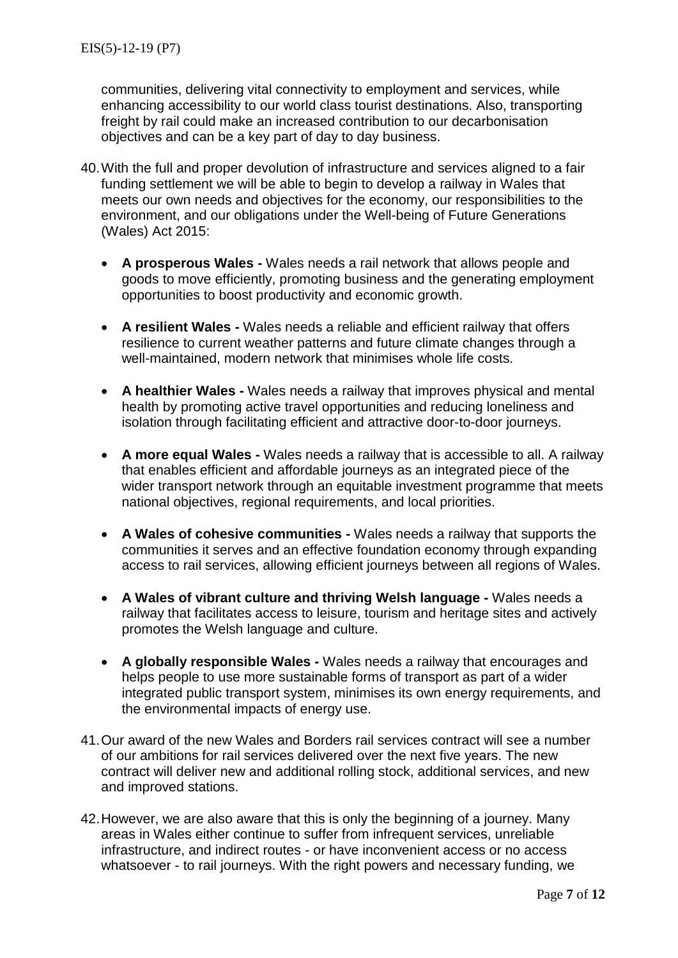communities, delivering vital connectivity to employment and services, while enhancing accessibility to our world class tourist destinations. Also, transporting freight by rail could make an increased contribution to our decarbonisation objectives and can be a key part of day to day business.

- 40.With the full and proper devolution of infrastructure and services aligned to a fair funding settlement we will be able to begin to develop a railway in Wales that meets our own needs and objectives for the economy, our responsibilities to the environment, and our obligations under the Well-being of Future Generations (Wales) Act 2015:
	- **A prosperous Wales -** Wales needs a rail network that allows people and goods to move efficiently, promoting business and the generating employment opportunities to boost productivity and economic growth.
	- **A resilient Wales -** Wales needs a reliable and efficient railway that offers resilience to current weather patterns and future climate changes through a well-maintained, modern network that minimises whole life costs.
	- **A healthier Wales -** Wales needs a railway that improves physical and mental health by promoting active travel opportunities and reducing loneliness and isolation through facilitating efficient and attractive door-to-door journeys.
	- **A more equal Wales -** Wales needs a railway that is accessible to all. A railway that enables efficient and affordable journeys as an integrated piece of the wider transport network through an equitable investment programme that meets national objectives, regional requirements, and local priorities.
	- **A Wales of cohesive communities -** Wales needs a railway that supports the communities it serves and an effective foundation economy through expanding access to rail services, allowing efficient journeys between all regions of Wales.
	- **A Wales of vibrant culture and thriving Welsh language -** Wales needs a railway that facilitates access to leisure, tourism and heritage sites and actively promotes the Welsh language and culture.
	- **A globally responsible Wales -** Wales needs a railway that encourages and helps people to use more sustainable forms of transport as part of a wider integrated public transport system, minimises its own energy requirements, and the environmental impacts of energy use.
- 41.Our award of the new Wales and Borders rail services contract will see a number of our ambitions for rail services delivered over the next five years. The new contract will deliver new and additional rolling stock, additional services, and new and improved stations.
- 42.However, we are also aware that this is only the beginning of a journey. Many areas in Wales either continue to suffer from infrequent services, unreliable infrastructure, and indirect routes - or have inconvenient access or no access whatsoever - to rail journeys. With the right powers and necessary funding, we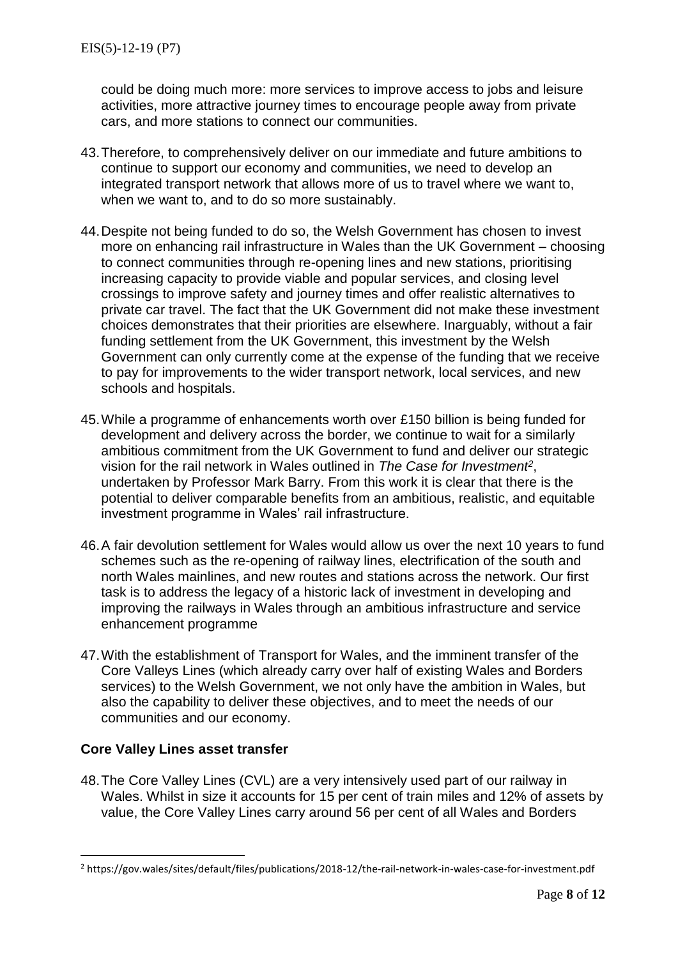could be doing much more: more services to improve access to jobs and leisure activities, more attractive journey times to encourage people away from private cars, and more stations to connect our communities.

- 43.Therefore, to comprehensively deliver on our immediate and future ambitions to continue to support our economy and communities, we need to develop an integrated transport network that allows more of us to travel where we want to, when we want to, and to do so more sustainably.
- 44.Despite not being funded to do so, the Welsh Government has chosen to invest more on enhancing rail infrastructure in Wales than the UK Government – choosing to connect communities through re-opening lines and new stations, prioritising increasing capacity to provide viable and popular services, and closing level crossings to improve safety and journey times and offer realistic alternatives to private car travel. The fact that the UK Government did not make these investment choices demonstrates that their priorities are elsewhere. Inarguably, without a fair funding settlement from the UK Government, this investment by the Welsh Government can only currently come at the expense of the funding that we receive to pay for improvements to the wider transport network, local services, and new schools and hospitals.
- 45.While a programme of enhancements worth over £150 billion is being funded for development and delivery across the border, we continue to wait for a similarly ambitious commitment from the UK Government to fund and deliver our strategic vision for the rail network in Wales outlined in *The Case for Investment<sup>2</sup>* , undertaken by Professor Mark Barry. From this work it is clear that there is the potential to deliver comparable benefits from an ambitious, realistic, and equitable investment programme in Wales' rail infrastructure.
- 46.A fair devolution settlement for Wales would allow us over the next 10 years to fund schemes such as the re-opening of railway lines, electrification of the south and north Wales mainlines, and new routes and stations across the network. Our first task is to address the legacy of a historic lack of investment in developing and improving the railways in Wales through an ambitious infrastructure and service enhancement programme
- 47.With the establishment of Transport for Wales, and the imminent transfer of the Core Valleys Lines (which already carry over half of existing Wales and Borders services) to the Welsh Government, we not only have the ambition in Wales, but also the capability to deliver these objectives, and to meet the needs of our communities and our economy.

## **Core Valley Lines asset transfer**

 $\overline{a}$ 

48.The Core Valley Lines (CVL) are a very intensively used part of our railway in Wales. Whilst in size it accounts for 15 per cent of train miles and 12% of assets by value, the Core Valley Lines carry around 56 per cent of all Wales and Borders

<sup>2</sup> https://gov.wales/sites/default/files/publications/2018-12/the-rail-network-in-wales-case-for-investment.pdf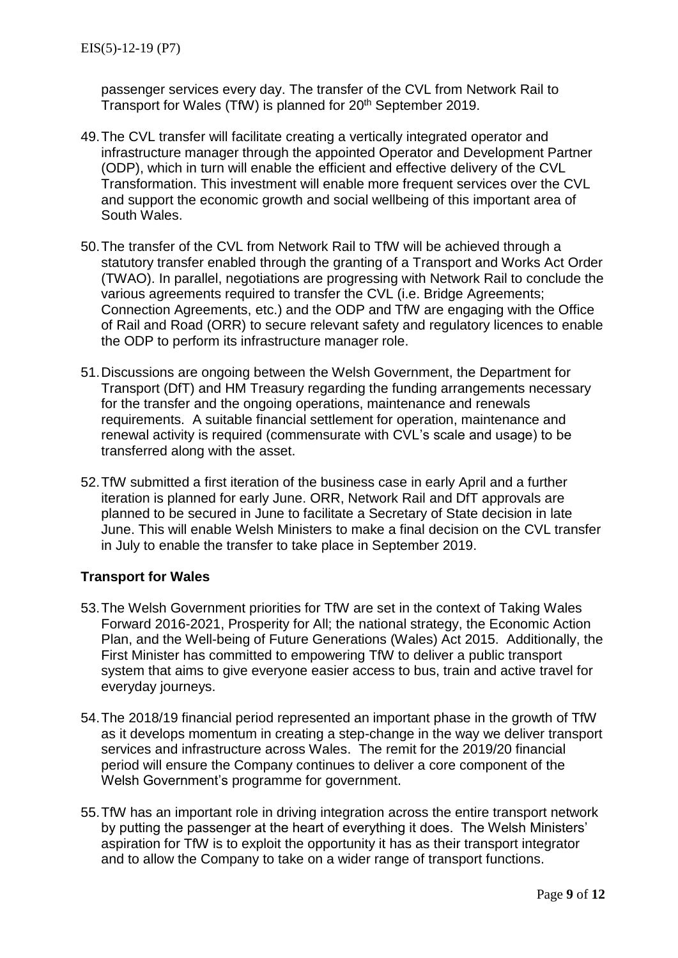passenger services every day. The transfer of the CVL from Network Rail to Transport for Wales (TfW) is planned for 20<sup>th</sup> September 2019.

- 49.The CVL transfer will facilitate creating a vertically integrated operator and infrastructure manager through the appointed Operator and Development Partner (ODP), which in turn will enable the efficient and effective delivery of the CVL Transformation. This investment will enable more frequent services over the CVL and support the economic growth and social wellbeing of this important area of South Wales.
- 50.The transfer of the CVL from Network Rail to TfW will be achieved through a statutory transfer enabled through the granting of a Transport and Works Act Order (TWAO). In parallel, negotiations are progressing with Network Rail to conclude the various agreements required to transfer the CVL (i.e. Bridge Agreements; Connection Agreements, etc.) and the ODP and TfW are engaging with the Office of Rail and Road (ORR) to secure relevant safety and regulatory licences to enable the ODP to perform its infrastructure manager role.
- 51.Discussions are ongoing between the Welsh Government, the Department for Transport (DfT) and HM Treasury regarding the funding arrangements necessary for the transfer and the ongoing operations, maintenance and renewals requirements. A suitable financial settlement for operation, maintenance and renewal activity is required (commensurate with CVL's scale and usage) to be transferred along with the asset.
- 52.TfW submitted a first iteration of the business case in early April and a further iteration is planned for early June. ORR, Network Rail and DfT approvals are planned to be secured in June to facilitate a Secretary of State decision in late June. This will enable Welsh Ministers to make a final decision on the CVL transfer in July to enable the transfer to take place in September 2019.

## **Transport for Wales**

- 53.The Welsh Government priorities for TfW are set in the context of Taking Wales Forward 2016-2021, Prosperity for All; the national strategy, the Economic Action Plan, and the Well-being of Future Generations (Wales) Act 2015. Additionally, the First Minister has committed to empowering TfW to deliver a public transport system that aims to give everyone easier access to bus, train and active travel for everyday journeys.
- 54.The 2018/19 financial period represented an important phase in the growth of TfW as it develops momentum in creating a step-change in the way we deliver transport services and infrastructure across Wales. The remit for the 2019/20 financial period will ensure the Company continues to deliver a core component of the Welsh Government's programme for government.
- 55.TfW has an important role in driving integration across the entire transport network by putting the passenger at the heart of everything it does. The Welsh Ministers' aspiration for TfW is to exploit the opportunity it has as their transport integrator and to allow the Company to take on a wider range of transport functions.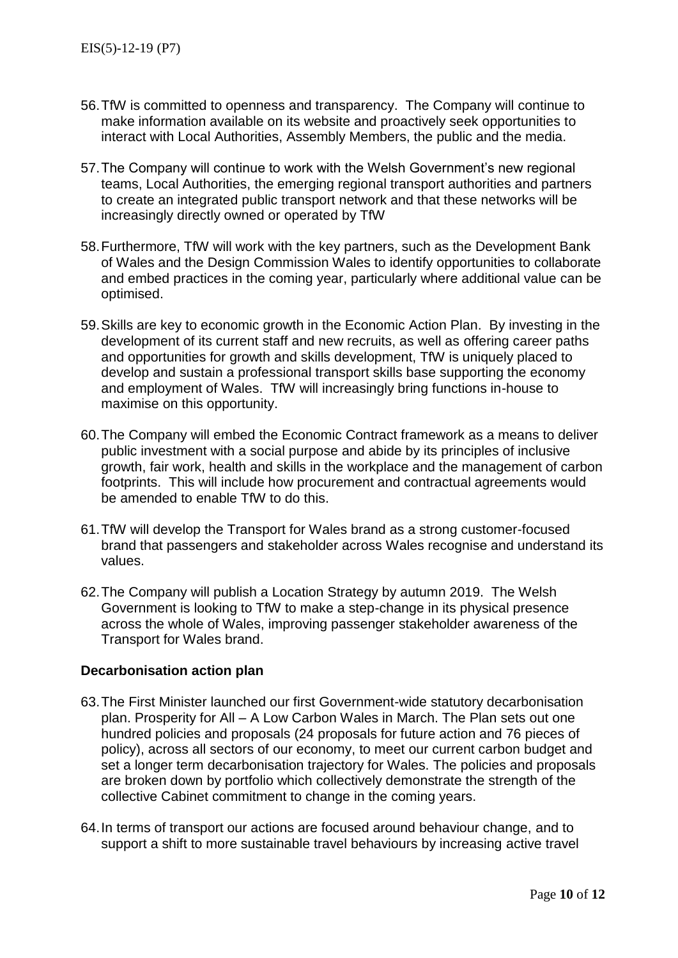- 56.TfW is committed to openness and transparency. The Company will continue to make information available on its website and proactively seek opportunities to interact with Local Authorities, Assembly Members, the public and the media.
- 57.The Company will continue to work with the Welsh Government's new regional teams, Local Authorities, the emerging regional transport authorities and partners to create an integrated public transport network and that these networks will be increasingly directly owned or operated by TfW
- 58.Furthermore, TfW will work with the key partners, such as the Development Bank of Wales and the Design Commission Wales to identify opportunities to collaborate and embed practices in the coming year, particularly where additional value can be optimised.
- 59.Skills are key to economic growth in the Economic Action Plan. By investing in the development of its current staff and new recruits, as well as offering career paths and opportunities for growth and skills development. TfW is uniquely placed to develop and sustain a professional transport skills base supporting the economy and employment of Wales. TfW will increasingly bring functions in-house to maximise on this opportunity.
- 60.The Company will embed the Economic Contract framework as a means to deliver public investment with a social purpose and abide by its principles of inclusive growth, fair work, health and skills in the workplace and the management of carbon footprints. This will include how procurement and contractual agreements would be amended to enable TfW to do this.
- 61.TfW will develop the Transport for Wales brand as a strong customer-focused brand that passengers and stakeholder across Wales recognise and understand its values.
- 62.The Company will publish a Location Strategy by autumn 2019. The Welsh Government is looking to TfW to make a step-change in its physical presence across the whole of Wales, improving passenger stakeholder awareness of the Transport for Wales brand.

## **Decarbonisation action plan**

- 63.The First Minister launched our first Government-wide statutory decarbonisation plan. Prosperity for All – A Low Carbon Wales in March. The Plan sets out one hundred policies and proposals (24 proposals for future action and 76 pieces of policy), across all sectors of our economy, to meet our current carbon budget and set a longer term decarbonisation trajectory for Wales. The policies and proposals are broken down by portfolio which collectively demonstrate the strength of the collective Cabinet commitment to change in the coming years.
- 64.In terms of transport our actions are focused around behaviour change, and to support a shift to more sustainable travel behaviours by increasing active travel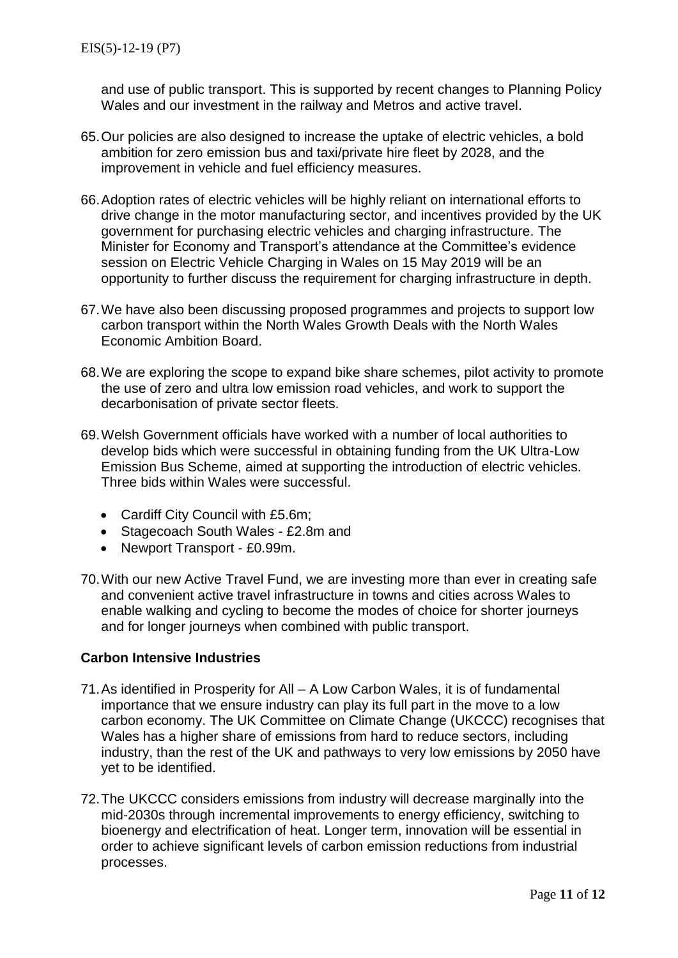and use of public transport. This is supported by recent changes to Planning Policy Wales and our investment in the railway and Metros and active travel.

- 65.Our policies are also designed to increase the uptake of electric vehicles, a bold ambition for zero emission bus and taxi/private hire fleet by 2028, and the improvement in vehicle and fuel efficiency measures.
- 66.Adoption rates of electric vehicles will be highly reliant on international efforts to drive change in the motor manufacturing sector, and incentives provided by the UK government for purchasing electric vehicles and charging infrastructure. The Minister for Economy and Transport's attendance at the Committee's evidence session on Electric Vehicle Charging in Wales on 15 May 2019 will be an opportunity to further discuss the requirement for charging infrastructure in depth.
- 67.We have also been discussing proposed programmes and projects to support low carbon transport within the North Wales Growth Deals with the North Wales Economic Ambition Board.
- 68.We are exploring the scope to expand bike share schemes, pilot activity to promote the use of zero and ultra low emission road vehicles, and work to support the decarbonisation of private sector fleets.
- 69.Welsh Government officials have worked with a number of local authorities to develop bids which were successful in obtaining funding from the UK Ultra-Low Emission Bus Scheme, aimed at supporting the introduction of electric vehicles. Three bids within Wales were successful.
	- Cardiff City Council with £5.6m;
	- Stagecoach South Wales £2.8m and
	- Newport Transport £0.99m.
- 70.With our new Active Travel Fund, we are investing more than ever in creating safe and convenient active travel infrastructure in towns and cities across Wales to enable walking and cycling to become the modes of choice for shorter journeys and for longer journeys when combined with public transport.

## **Carbon Intensive Industries**

- 71.As identified in Prosperity for All A Low Carbon Wales, it is of fundamental importance that we ensure industry can play its full part in the move to a low carbon economy. The UK Committee on Climate Change (UKCCC) recognises that Wales has a higher share of emissions from hard to reduce sectors, including industry, than the rest of the UK and pathways to very low emissions by 2050 have yet to be identified.
- 72.The UKCCC considers emissions from industry will decrease marginally into the mid-2030s through incremental improvements to energy efficiency, switching to bioenergy and electrification of heat. Longer term, innovation will be essential in order to achieve significant levels of carbon emission reductions from industrial processes.